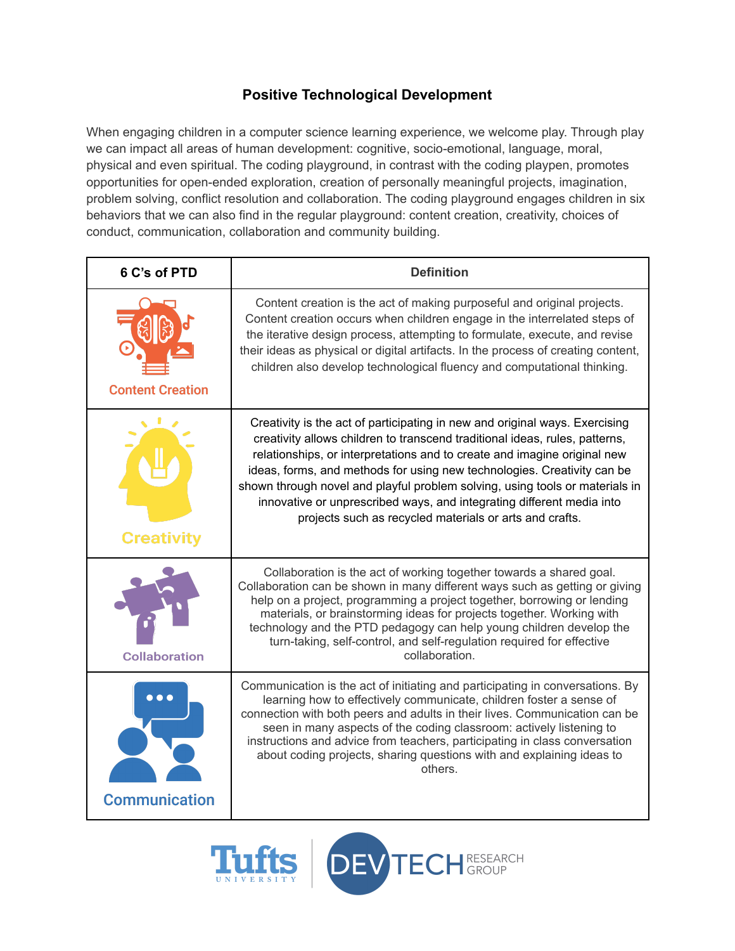## **Positive Technological Development**

When engaging children in a computer science learning experience, we welcome play. Through play we can impact all areas of human development: cognitive, socio-emotional, language, moral, physical and even spiritual. The coding playground, in contrast with the coding playpen, promotes opportunities for open-ended exploration, creation of personally meaningful projects, imagination, problem solving, conflict resolution and collaboration. The coding playground engages children in six behaviors that we can also find in the regular playground: content creation, creativity, choices of conduct, communication, collaboration and community building.

| 6 C's of PTD            | <b>Definition</b>                                                                                                                                                                                                                                                                                                                                                                                                                                                                                                                     |
|-------------------------|---------------------------------------------------------------------------------------------------------------------------------------------------------------------------------------------------------------------------------------------------------------------------------------------------------------------------------------------------------------------------------------------------------------------------------------------------------------------------------------------------------------------------------------|
| <b>Content Creation</b> | Content creation is the act of making purposeful and original projects.<br>Content creation occurs when children engage in the interrelated steps of<br>the iterative design process, attempting to formulate, execute, and revise<br>their ideas as physical or digital artifacts. In the process of creating content,<br>children also develop technological fluency and computational thinking.                                                                                                                                    |
| <b>Creativity</b>       | Creativity is the act of participating in new and original ways. Exercising<br>creativity allows children to transcend traditional ideas, rules, patterns,<br>relationships, or interpretations and to create and imagine original new<br>ideas, forms, and methods for using new technologies. Creativity can be<br>shown through novel and playful problem solving, using tools or materials in<br>innovative or unprescribed ways, and integrating different media into<br>projects such as recycled materials or arts and crafts. |
| <b>Collaboration</b>    | Collaboration is the act of working together towards a shared goal.<br>Collaboration can be shown in many different ways such as getting or giving<br>help on a project, programming a project together, borrowing or lending<br>materials, or brainstorming ideas for projects together. Working with<br>technology and the PTD pedagogy can help young children develop the<br>turn-taking, self-control, and self-regulation required for effective<br>collaboration.                                                              |
| <b>Communication</b>    | Communication is the act of initiating and participating in conversations. By<br>learning how to effectively communicate, children foster a sense of<br>connection with both peers and adults in their lives. Communication can be<br>seen in many aspects of the coding classroom: actively listening to<br>instructions and advice from teachers, participating in class conversation<br>about coding projects, sharing questions with and explaining ideas to<br>others.                                                           |